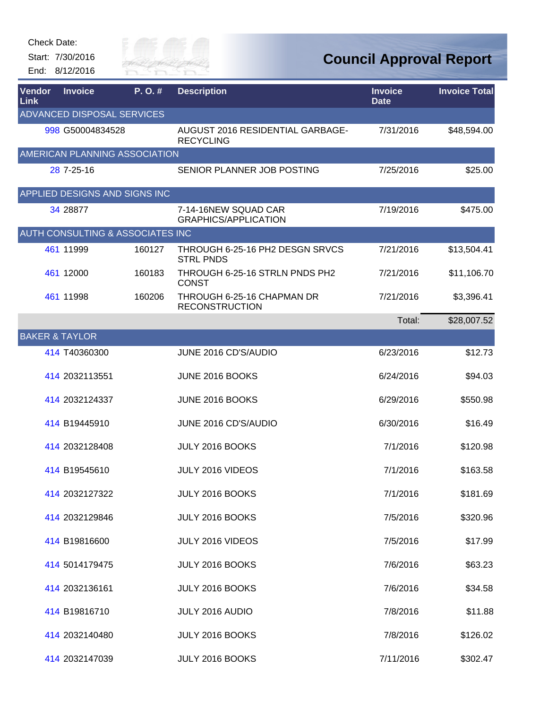Start: 7/30/2016 End: 8/12/2016



| Vendor<br>Link | <b>Invoice</b>                    | P. O. # | <b>Description</b>                                   | <b>Invoice</b><br><b>Date</b> | <b>Invoice Total</b> |
|----------------|-----------------------------------|---------|------------------------------------------------------|-------------------------------|----------------------|
|                | <b>ADVANCED DISPOSAL SERVICES</b> |         |                                                      |                               |                      |
|                | 998 G50004834528                  |         | AUGUST 2016 RESIDENTIAL GARBAGE-<br><b>RECYCLING</b> | 7/31/2016                     | \$48,594.00          |
|                | AMERICAN PLANNING ASSOCIATION     |         |                                                      |                               |                      |
|                | 28 7-25-16                        |         | SENIOR PLANNER JOB POSTING                           | 7/25/2016                     | \$25.00              |
|                | APPLIED DESIGNS AND SIGNS INC     |         |                                                      |                               |                      |
|                | 34 28877                          |         | 7-14-16NEW SQUAD CAR<br><b>GRAPHICS/APPLICATION</b>  | 7/19/2016                     | \$475.00             |
|                | AUTH CONSULTING & ASSOCIATES INC  |         |                                                      |                               |                      |
|                | 461 11999                         | 160127  | THROUGH 6-25-16 PH2 DESGN SRVCS<br><b>STRL PNDS</b>  | 7/21/2016                     | \$13,504.41          |
|                | 461 12000                         | 160183  | THROUGH 6-25-16 STRLN PNDS PH2<br><b>CONST</b>       | 7/21/2016                     | \$11,106.70          |
|                | 461 11998                         | 160206  | THROUGH 6-25-16 CHAPMAN DR<br><b>RECONSTRUCTION</b>  | 7/21/2016                     | \$3,396.41           |
|                |                                   |         |                                                      | Total:                        | \$28,007.52          |
|                | <b>BAKER &amp; TAYLOR</b>         |         |                                                      |                               |                      |
|                | 414 T40360300                     |         | JUNE 2016 CD'S/AUDIO                                 | 6/23/2016                     | \$12.73              |
|                | 414 2032113551                    |         | JUNE 2016 BOOKS                                      | 6/24/2016                     | \$94.03              |
|                | 414 2032124337                    |         | JUNE 2016 BOOKS                                      | 6/29/2016                     | \$550.98             |
|                | 414 B19445910                     |         | JUNE 2016 CD'S/AUDIO                                 | 6/30/2016                     | \$16.49              |
|                | 414 2032128408                    |         | JULY 2016 BOOKS                                      | 7/1/2016                      | \$120.98             |
|                | 414 B19545610                     |         | JULY 2016 VIDEOS                                     | 7/1/2016                      | \$163.58             |
|                | 414 2032127322                    |         | JULY 2016 BOOKS                                      | 7/1/2016                      | \$181.69             |
|                | 414 2032129846                    |         | JULY 2016 BOOKS                                      | 7/5/2016                      | \$320.96             |
|                | 414 B19816600                     |         | JULY 2016 VIDEOS                                     | 7/5/2016                      | \$17.99              |
|                | 414 5014179475                    |         | JULY 2016 BOOKS                                      | 7/6/2016                      | \$63.23              |
|                | 414 2032136161                    |         | JULY 2016 BOOKS                                      | 7/6/2016                      | \$34.58              |
|                | 414 B19816710                     |         | JULY 2016 AUDIO                                      | 7/8/2016                      | \$11.88              |
|                | 414 2032140480                    |         | JULY 2016 BOOKS                                      | 7/8/2016                      | \$126.02             |
|                | 414 2032147039                    |         | JULY 2016 BOOKS                                      | 7/11/2016                     | \$302.47             |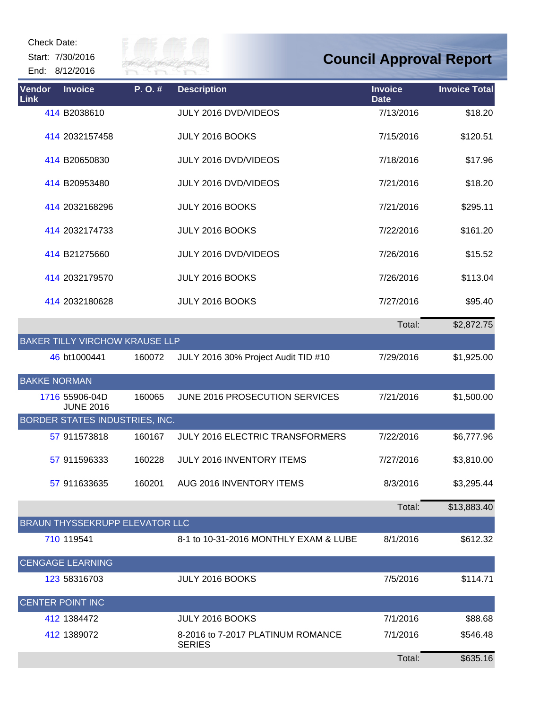Start: 7/30/2016 End: 8/12/2016



| Vendor<br>Link      | <b>Invoice</b>                        | P.O.#  | <b>Description</b>                                 | <b>Invoice</b><br><b>Date</b> | <b>Invoice Total</b> |
|---------------------|---------------------------------------|--------|----------------------------------------------------|-------------------------------|----------------------|
|                     | 414 B2038610                          |        | JULY 2016 DVD/VIDEOS                               | 7/13/2016                     | \$18.20              |
|                     | 414 2032157458                        |        | JULY 2016 BOOKS                                    | 7/15/2016                     | \$120.51             |
|                     | 414 B20650830                         |        | JULY 2016 DVD/VIDEOS                               | 7/18/2016                     | \$17.96              |
|                     | 414 B20953480                         |        | JULY 2016 DVD/VIDEOS                               | 7/21/2016                     | \$18.20              |
|                     | 414 2032168296                        |        | JULY 2016 BOOKS                                    | 7/21/2016                     | \$295.11             |
|                     | 414 2032174733                        |        | JULY 2016 BOOKS                                    | 7/22/2016                     | \$161.20             |
|                     | 414 B21275660                         |        | JULY 2016 DVD/VIDEOS                               | 7/26/2016                     | \$15.52              |
|                     | 414 2032179570                        |        | JULY 2016 BOOKS                                    | 7/26/2016                     | \$113.04             |
|                     | 414 2032180628                        |        | JULY 2016 BOOKS                                    | 7/27/2016                     | \$95.40              |
|                     |                                       |        |                                                    | Total:                        | \$2,872.75           |
|                     | <b>BAKER TILLY VIRCHOW KRAUSE LLP</b> |        |                                                    |                               |                      |
|                     | 46 bt1000441                          | 160072 | JULY 2016 30% Project Audit TID #10                | 7/29/2016                     | \$1,925.00           |
| <b>BAKKE NORMAN</b> |                                       |        |                                                    |                               |                      |
|                     | 1716 55906-04D<br><b>JUNE 2016</b>    | 160065 | JUNE 2016 PROSECUTION SERVICES                     | 7/21/2016                     | \$1,500.00           |
|                     | BORDER STATES INDUSTRIES, INC.        |        |                                                    |                               |                      |
|                     | 57 911573818                          | 160167 | JULY 2016 ELECTRIC TRANSFORMERS                    | 7/22/2016                     | \$6,777.96           |
|                     | 57 911596333                          | 160228 | JULY 2016 INVENTORY ITEMS                          | 7/27/2016                     | \$3,810.00           |
|                     | 57 911633635                          | 160201 | AUG 2016 INVENTORY ITEMS                           | 8/3/2016                      | \$3,295.44           |
|                     |                                       |        |                                                    | Total:                        | \$13,883.40          |
|                     | BRAUN THYSSEKRUPP ELEVATOR LLC        |        |                                                    |                               |                      |
|                     | 710 119541                            |        | 8-1 to 10-31-2016 MONTHLY EXAM & LUBE              | 8/1/2016                      | \$612.32             |
|                     | <b>CENGAGE LEARNING</b>               |        |                                                    |                               |                      |
|                     | 123 58316703                          |        | JULY 2016 BOOKS                                    | 7/5/2016                      | \$114.71             |
|                     | <b>CENTER POINT INC</b>               |        |                                                    |                               |                      |
|                     | 412 1384472                           |        | JULY 2016 BOOKS                                    | 7/1/2016                      | \$88.68              |
|                     | 412 1389072                           |        | 8-2016 to 7-2017 PLATINUM ROMANCE<br><b>SERIES</b> | 7/1/2016                      | \$546.48             |
|                     |                                       |        |                                                    | Total:                        | \$635.16             |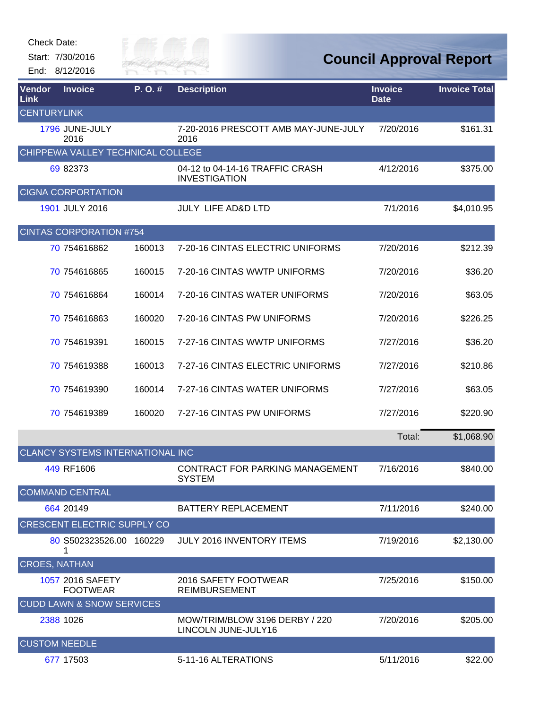| <b>Check Date:</b> |  |
|--------------------|--|
|                    |  |

Start: 7/30/2016 End: 8/12/2016



| Vendor<br>Link       | <b>Invoice</b>                          | P.O.#  | <b>Description</b>                                      | <b>Invoice</b><br><b>Date</b> | <b>Invoice Total</b> |
|----------------------|-----------------------------------------|--------|---------------------------------------------------------|-------------------------------|----------------------|
| <b>CENTURYLINK</b>   |                                         |        |                                                         |                               |                      |
|                      | 1796 JUNE-JULY<br>2016                  |        | 7-20-2016 PRESCOTT AMB MAY-JUNE-JULY<br>2016            | 7/20/2016                     | \$161.31             |
|                      | CHIPPEWA VALLEY TECHNICAL COLLEGE       |        |                                                         |                               |                      |
|                      | 69 82373                                |        | 04-12 to 04-14-16 TRAFFIC CRASH<br><b>INVESTIGATION</b> | 4/12/2016                     | \$375.00             |
|                      | <b>CIGNA CORPORTATION</b>               |        |                                                         |                               |                      |
|                      | 1901 JULY 2016                          |        | <b>JULY LIFE AD&amp;D LTD</b>                           | 7/1/2016                      | \$4,010.95           |
|                      | <b>CINTAS CORPORATION #754</b>          |        |                                                         |                               |                      |
|                      | 70 754616862                            | 160013 | 7-20-16 CINTAS ELECTRIC UNIFORMS                        | 7/20/2016                     | \$212.39             |
|                      | 70 754616865                            | 160015 | 7-20-16 CINTAS WWTP UNIFORMS                            | 7/20/2016                     | \$36.20              |
|                      | 70 754616864                            | 160014 | 7-20-16 CINTAS WATER UNIFORMS                           | 7/20/2016                     | \$63.05              |
|                      | 70 754616863                            | 160020 | 7-20-16 CINTAS PW UNIFORMS                              | 7/20/2016                     | \$226.25             |
|                      | 70 754619391                            | 160015 | 7-27-16 CINTAS WWTP UNIFORMS                            | 7/27/2016                     | \$36.20              |
|                      | 70 754619388                            | 160013 | 7-27-16 CINTAS ELECTRIC UNIFORMS                        | 7/27/2016                     | \$210.86             |
|                      | 70 754619390                            | 160014 | 7-27-16 CINTAS WATER UNIFORMS                           | 7/27/2016                     | \$63.05              |
|                      | 70 754619389                            | 160020 | 7-27-16 CINTAS PW UNIFORMS                              | 7/27/2016                     | \$220.90             |
|                      |                                         |        |                                                         | Total:                        | \$1,068.90           |
|                      | <b>CLANCY SYSTEMS INTERNATIONAL INC</b> |        |                                                         |                               |                      |
|                      | 449 RF1606                              |        | CONTRACT FOR PARKING MANAGEMENT<br><b>SYSTEM</b>        | 7/16/2016                     | \$840.00             |
|                      | <b>COMMAND CENTRAL</b>                  |        |                                                         |                               |                      |
|                      | 664 20149                               |        | <b>BATTERY REPLACEMENT</b>                              | 7/11/2016                     | \$240.00             |
|                      | <b>CRESCENT ELECTRIC SUPPLY CO</b>      |        |                                                         |                               |                      |
|                      | 80 S502323526.00 160229                 |        | JULY 2016 INVENTORY ITEMS                               | 7/19/2016                     | \$2,130.00           |
| <b>CROES, NATHAN</b> |                                         |        |                                                         |                               |                      |
|                      | 1057 2016 SAFETY<br><b>FOOTWEAR</b>     |        | 2016 SAFETY FOOTWEAR<br><b>REIMBURSEMENT</b>            | 7/25/2016                     | \$150.00             |
|                      | <b>CUDD LAWN &amp; SNOW SERVICES</b>    |        |                                                         |                               |                      |
|                      | 2388 1026                               |        | MOW/TRIM/BLOW 3196 DERBY / 220<br>LINCOLN JUNE-JULY16   | 7/20/2016                     | \$205.00             |
| <b>CUSTOM NEEDLE</b> |                                         |        |                                                         |                               |                      |
|                      | 677 17503                               |        | 5-11-16 ALTERATIONS                                     | 5/11/2016                     | \$22.00              |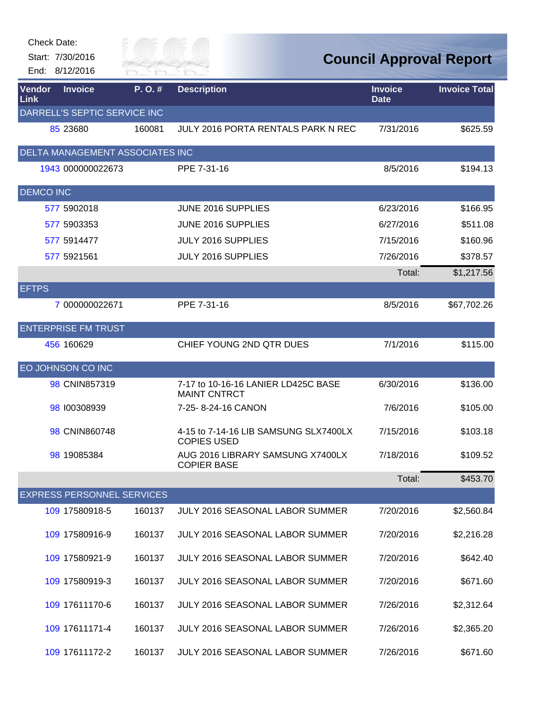| Check Date:      | Start: 7/30/2016<br>End: 8/12/2016 | River fai |                                                             | <b>Council Approval Report</b> |                      |
|------------------|------------------------------------|-----------|-------------------------------------------------------------|--------------------------------|----------------------|
| Vendor<br>Link   | <b>Invoice</b>                     | P.O.#     | <b>Description</b>                                          | <b>Invoice</b><br><b>Date</b>  | <b>Invoice Total</b> |
|                  | DARRELL'S SEPTIC SERVICE INC       |           |                                                             |                                |                      |
|                  | 85 23680                           | 160081    | JULY 2016 PORTA RENTALS PARK N REC                          | 7/31/2016                      | \$625.59             |
|                  | DELTA MANAGEMENT ASSOCIATES INC    |           |                                                             |                                |                      |
|                  | 1943 000000022673                  |           | PPE 7-31-16                                                 | 8/5/2016                       | \$194.13             |
| <b>DEMCO INC</b> |                                    |           |                                                             |                                |                      |
|                  | 577 5902018                        |           | JUNE 2016 SUPPLIES                                          | 6/23/2016                      | \$166.95             |
|                  | 577 5903353                        |           | JUNE 2016 SUPPLIES                                          | 6/27/2016                      | \$511.08             |
|                  | 577 5914477                        |           | JULY 2016 SUPPLIES                                          | 7/15/2016                      | \$160.96             |
|                  | 577 5921561                        |           | JULY 2016 SUPPLIES                                          | 7/26/2016                      | \$378.57             |
|                  |                                    |           |                                                             | Total:                         | \$1,217.56           |
| <b>EFTPS</b>     |                                    |           |                                                             |                                |                      |
|                  | 7 000000022671                     |           | PPE 7-31-16                                                 | 8/5/2016                       | \$67,702.26          |
|                  | <b>ENTERPRISE FM TRUST</b>         |           |                                                             |                                |                      |
|                  | 456 160629                         |           | CHIEF YOUNG 2ND QTR DUES                                    | 7/1/2016                       | \$115.00             |
|                  | EO JOHNSON CO INC                  |           |                                                             |                                |                      |
|                  | 98 CNIN857319                      |           | 7-17 to 10-16-16 LANIER LD425C BASE<br><b>MAINT CNTRCT</b>  | 6/30/2016                      | \$136.00             |
|                  | 98 100308939                       |           | 7-25-8--24-16 CANON                                         | 7/6/2016                       | \$105.00             |
|                  | 98 CNIN860748                      |           | 4-15 to 7-14-16 LIB SAMSUNG SLX7400LX<br><b>COPIES USED</b> | 7/15/2016                      | \$103.18             |
|                  | 98 19085384                        |           | AUG 2016 LIBRARY SAMSUNG X7400LX<br><b>COPIER BASE</b>      | 7/18/2016                      | \$109.52             |
|                  |                                    |           |                                                             | Total:                         | \$453.70             |
|                  | <b>EXPRESS PERSONNEL SERVICES</b>  |           |                                                             |                                |                      |
|                  | 109 17580918-5                     | 160137    | <b>JULY 2016 SEASONAL LABOR SUMMER</b>                      | 7/20/2016                      | \$2,560.84           |
|                  | 109 17580916-9                     | 160137    | JULY 2016 SEASONAL LABOR SUMMER                             | 7/20/2016                      | \$2,216.28           |
|                  | 109 17580921-9                     | 160137    | JULY 2016 SEASONAL LABOR SUMMER                             | 7/20/2016                      | \$642.40             |
|                  | 109 17580919-3                     | 160137    | JULY 2016 SEASONAL LABOR SUMMER                             | 7/20/2016                      | \$671.60             |
|                  | 109 17611170-6                     | 160137    | <b>JULY 2016 SEASONAL LABOR SUMMER</b>                      | 7/26/2016                      | \$2,312.64           |
|                  | 109 17611171-4                     | 160137    | JULY 2016 SEASONAL LABOR SUMMER                             | 7/26/2016                      | \$2,365.20           |
|                  | 109 17611172-2                     | 160137    | <b>JULY 2016 SEASONAL LABOR SUMMER</b>                      | 7/26/2016                      | \$671.60             |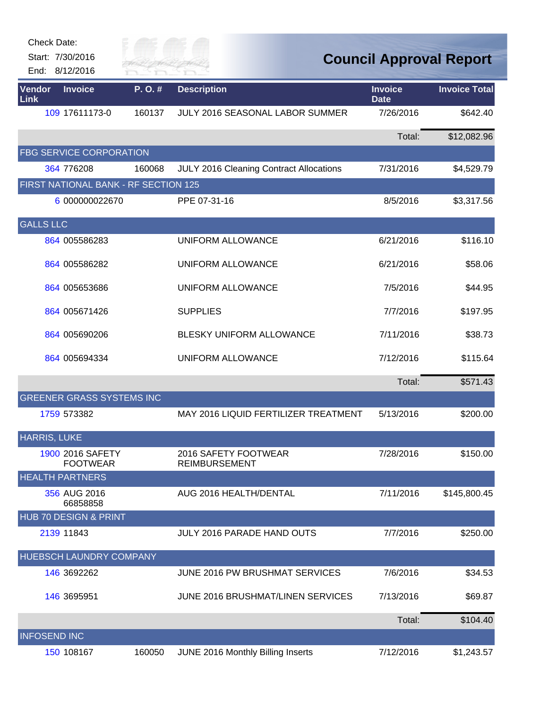| Check Date:<br>Start: 7/30/2016<br>End: 8/12/2016 |                                      | City of<br><b>TVER FA</b> |                                                | <b>Council Approval Report</b> |                      |
|---------------------------------------------------|--------------------------------------|---------------------------|------------------------------------------------|--------------------------------|----------------------|
| Vendor<br><b>Link</b>                             | <b>Invoice</b>                       | P.O.#                     | <b>Description</b>                             | <b>Invoice</b><br><b>Date</b>  | <b>Invoice Total</b> |
|                                                   | 109 17611173-0                       | 160137                    | JULY 2016 SEASONAL LABOR SUMMER                | 7/26/2016                      | \$642.40             |
|                                                   |                                      |                           |                                                | Total:                         | \$12,082.96          |
|                                                   | <b>FBG SERVICE CORPORATION</b>       |                           |                                                |                                |                      |
|                                                   | 364 776208                           | 160068                    | <b>JULY 2016 Cleaning Contract Allocations</b> | 7/31/2016                      | \$4,529.79           |
|                                                   | FIRST NATIONAL BANK - RF SECTION 125 |                           |                                                |                                |                      |
|                                                   | 6 000000022670                       |                           | PPE 07-31-16                                   | 8/5/2016                       | \$3,317.56           |
| <b>GALLS LLC</b>                                  |                                      |                           |                                                |                                |                      |
|                                                   | 864 005586283                        |                           | <b>UNIFORM ALLOWANCE</b>                       | 6/21/2016                      | \$116.10             |
|                                                   | 864 005586282                        |                           | UNIFORM ALLOWANCE                              | 6/21/2016                      | \$58.06              |
|                                                   | 864 005653686                        |                           | <b>UNIFORM ALLOWANCE</b>                       | 7/5/2016                       | \$44.95              |
|                                                   | 864 005671426                        |                           | <b>SUPPLIES</b>                                | 7/7/2016                       | \$197.95             |
|                                                   | 864 005690206                        |                           | BLESKY UNIFORM ALLOWANCE                       | 7/11/2016                      | \$38.73              |
|                                                   | 864 005694334                        |                           | UNIFORM ALLOWANCE                              | 7/12/2016                      | \$115.64             |
|                                                   |                                      |                           |                                                | Total:                         | \$571.43             |
|                                                   | <b>GREENER GRASS SYSTEMS INC</b>     |                           |                                                |                                |                      |
| 1759 573382                                       |                                      |                           | MAY 2016 LIQUID FERTILIZER TREATMENT           | 5/13/2016                      | \$200.00             |
| <b>HARRIS, LUKE</b>                               |                                      |                           |                                                |                                |                      |
|                                                   | 1900 2016 SAFETY<br><b>FOOTWEAR</b>  |                           | 2016 SAFETY FOOTWEAR<br><b>REIMBURSEMENT</b>   | 7/28/2016                      | \$150.00             |
| <b>HEALTH PARTNERS</b>                            |                                      |                           |                                                |                                |                      |
|                                                   | 356 AUG 2016<br>66858858             |                           | AUG 2016 HEALTH/DENTAL                         | 7/11/2016                      | \$145,800.45         |
|                                                   | HUB 70 DESIGN & PRINT                |                           |                                                |                                |                      |
| 2139 11843                                        |                                      |                           | <b>JULY 2016 PARADE HAND OUTS</b>              | 7/7/2016                       | \$250.00             |
|                                                   | HUEBSCH LAUNDRY COMPANY              |                           |                                                |                                |                      |
|                                                   | 146 3692262                          |                           | JUNE 2016 PW BRUSHMAT SERVICES                 | 7/6/2016                       | \$34.53              |
|                                                   | 146 3695951                          |                           | JUNE 2016 BRUSHMAT/LINEN SERVICES              | 7/13/2016                      | \$69.87              |
|                                                   |                                      |                           |                                                | Total:                         | \$104.40             |
| <b>INFOSEND INC</b>                               |                                      |                           |                                                |                                |                      |
|                                                   | 150 108167                           | 160050                    | JUNE 2016 Monthly Billing Inserts              | 7/12/2016                      | \$1,243.57           |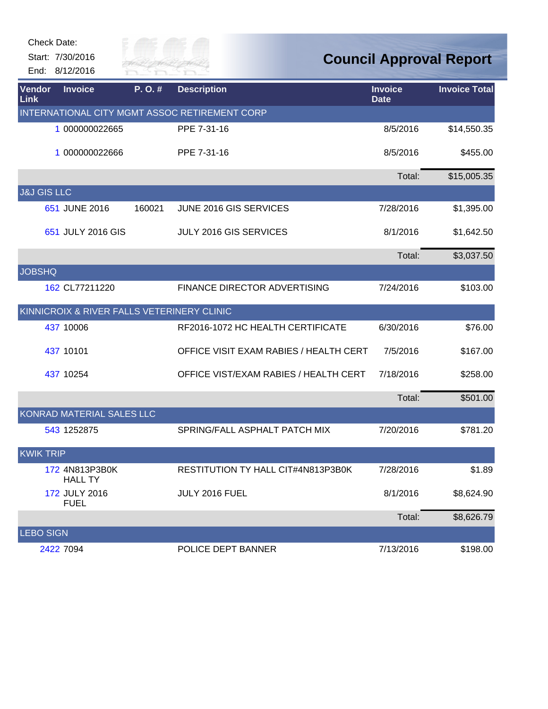|                        | Check Date:<br>Start: 7/30/2016                       | City of            |                                               |                               | <b>Council Approval Report</b> |
|------------------------|-------------------------------------------------------|--------------------|-----------------------------------------------|-------------------------------|--------------------------------|
| <b>Vendor</b><br>Link  | End: 8/12/2016<br><b>Invoice</b>                      | RIVER FAI<br>P.O.# | <b>Description</b>                            | <b>Invoice</b><br><b>Date</b> | <b>Invoice Total</b>           |
|                        |                                                       |                    | INTERNATIONAL CITY MGMT ASSOC RETIREMENT CORP |                               |                                |
|                        | 1 000000022665                                        |                    | PPE 7-31-16                                   | 8/5/2016                      | \$14,550.35                    |
|                        | 1 000000022666                                        |                    | PPE 7-31-16                                   | 8/5/2016                      | \$455.00                       |
|                        |                                                       |                    |                                               | Total:                        | \$15,005.35                    |
| <b>J&amp;J GIS LLC</b> |                                                       |                    |                                               |                               |                                |
|                        | 651 JUNE 2016                                         | 160021             | JUNE 2016 GIS SERVICES                        | 7/28/2016                     | \$1,395.00                     |
|                        | 651 JULY 2016 GIS                                     |                    | JULY 2016 GIS SERVICES                        | 8/1/2016                      | \$1,642.50                     |
|                        |                                                       |                    |                                               | Total:                        | \$3,037.50                     |
| <b>JOBSHQ</b>          |                                                       |                    |                                               |                               |                                |
|                        | 162 CL77211220                                        |                    | FINANCE DIRECTOR ADVERTISING                  | 7/24/2016                     | \$103.00                       |
|                        | <b>KINNICROIX &amp; RIVER FALLS VETERINERY CLINIC</b> |                    |                                               |                               |                                |
|                        | 437 10006                                             |                    | RF2016-1072 HC HEALTH CERTIFICATE             | 6/30/2016                     | \$76.00                        |
|                        | 437 10101                                             |                    | OFFICE VISIT EXAM RABIES / HEALTH CERT        | 7/5/2016                      | \$167.00                       |
|                        | 437 10254                                             |                    | OFFICE VIST/EXAM RABIES / HEALTH CERT         | 7/18/2016                     | \$258.00                       |
|                        |                                                       |                    |                                               | Total:                        | \$501.00                       |
|                        | KONRAD MATERIAL SALES LLC                             |                    |                                               |                               |                                |
|                        | 543 1252875                                           |                    | SPRING/FALL ASPHALT PATCH MIX                 | 7/20/2016                     | \$781.20                       |
| <b>KWIK TRIP</b>       |                                                       |                    |                                               |                               |                                |
|                        | 172 4N813P3B0K<br><b>HALL TY</b>                      |                    | RESTITUTION TY HALL CIT#4N813P3B0K            | 7/28/2016                     | \$1.89                         |
|                        | 172 JULY 2016<br><b>FUEL</b>                          |                    | JULY 2016 FUEL                                | 8/1/2016                      | \$8,624.90                     |
|                        |                                                       |                    |                                               | Total:                        | \$8,626.79                     |
| <b>LEBO SIGN</b>       |                                                       |                    |                                               |                               |                                |
|                        | 2422 7094                                             |                    | POLICE DEPT BANNER                            | 7/13/2016                     | \$198.00                       |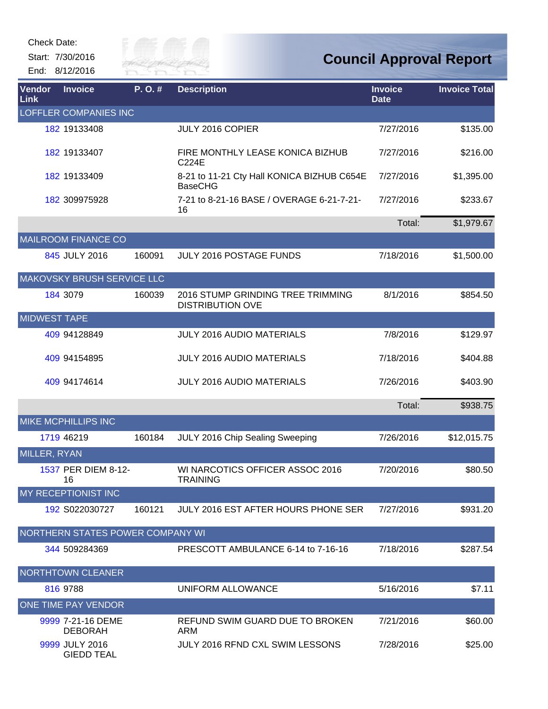Start: 7/30/2016 End: 8/12/2016



| Vendor<br>Link      | <b>Invoice</b>                      | P.O.#  | <b>Description</b>                                           | <b>Invoice</b><br><b>Date</b> | <b>Invoice Total</b> |
|---------------------|-------------------------------------|--------|--------------------------------------------------------------|-------------------------------|----------------------|
|                     | <b>LOFFLER COMPANIES INC</b>        |        |                                                              |                               |                      |
|                     | 182 19133408                        |        | JULY 2016 COPIER                                             | 7/27/2016                     | \$135.00             |
|                     | 182 19133407                        |        | FIRE MONTHLY LEASE KONICA BIZHUB<br>C224E                    | 7/27/2016                     | \$216.00             |
|                     | 182 19133409                        |        | 8-21 to 11-21 Cty Hall KONICA BIZHUB C654E<br><b>BaseCHG</b> | 7/27/2016                     | \$1,395.00           |
|                     | 182 309975928                       |        | 7-21 to 8-21-16 BASE / OVERAGE 6-21-7-21-<br>16              | 7/27/2016                     | \$233.67             |
|                     |                                     |        |                                                              | Total:                        | \$1,979.67           |
|                     | <b>MAILROOM FINANCE CO</b>          |        |                                                              |                               |                      |
|                     | 845 JULY 2016                       | 160091 | JULY 2016 POSTAGE FUNDS                                      | 7/18/2016                     | \$1,500.00           |
|                     | MAKOVSKY BRUSH SERVICE LLC          |        |                                                              |                               |                      |
|                     | 184 3079                            | 160039 | 2016 STUMP GRINDING TREE TRIMMING<br><b>DISTRIBUTION OVE</b> | 8/1/2016                      | \$854.50             |
| <b>MIDWEST TAPE</b> |                                     |        |                                                              |                               |                      |
|                     | 409 94128849                        |        | <b>JULY 2016 AUDIO MATERIALS</b>                             | 7/8/2016                      | \$129.97             |
|                     | 409 94154895                        |        | <b>JULY 2016 AUDIO MATERIALS</b>                             | 7/18/2016                     | \$404.88             |
|                     | 409 94174614                        |        | <b>JULY 2016 AUDIO MATERIALS</b>                             | 7/26/2016                     | \$403.90             |
|                     |                                     |        |                                                              | Total:                        | \$938.75             |
|                     | <b>MIKE MCPHILLIPS INC</b>          |        |                                                              |                               |                      |
|                     | 1719 46219                          | 160184 | JULY 2016 Chip Sealing Sweeping                              | 7/26/2016                     | \$12,015.75          |
| MILLER, RYAN        |                                     |        |                                                              |                               |                      |
|                     | 1537 PER DIEM 8-12-<br>16.          |        | WI NARCOTICS OFFICER ASSOC 2016<br><b>TRAINING</b>           | 7/20/2016                     | \$80.50              |
|                     | MY RECEPTIONIST INC                 |        |                                                              |                               |                      |
|                     | 192 S022030727                      | 160121 | JULY 2016 EST AFTER HOURS PHONE SER                          | 7/27/2016                     | \$931.20             |
|                     | NORTHERN STATES POWER COMPANY WI    |        |                                                              |                               |                      |
|                     | 344 509284369                       |        | PRESCOTT AMBULANCE 6-14 to 7-16-16                           | 7/18/2016                     | \$287.54             |
|                     | <b>NORTHTOWN CLEANER</b>            |        |                                                              |                               |                      |
|                     | 816 9788                            |        | UNIFORM ALLOWANCE                                            | 5/16/2016                     | \$7.11               |
|                     | ONE TIME PAY VENDOR                 |        |                                                              |                               |                      |
|                     | 9999 7-21-16 DEME<br><b>DEBORAH</b> |        | REFUND SWIM GUARD DUE TO BROKEN<br>ARM                       | 7/21/2016                     | \$60.00              |
|                     | 9999 JULY 2016<br><b>GIEDD TEAL</b> |        | JULY 2016 RFND CXL SWIM LESSONS                              | 7/28/2016                     | \$25.00              |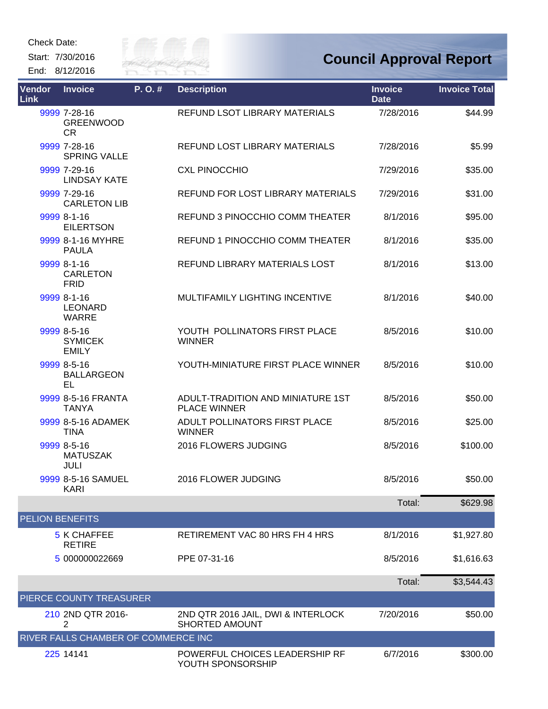Start: 7/30/2016 End: 8/12/2016



| <b>Vendor</b><br><b>Link</b> | <b>Invoice</b>                                | P.O.# | <b>Description</b>                                          | <b>Invoice</b><br><b>Date</b> | <b>Invoice Total</b> |
|------------------------------|-----------------------------------------------|-------|-------------------------------------------------------------|-------------------------------|----------------------|
|                              | 9999 7-28-16<br><b>GREENWOOD</b><br>CR        |       | <b>REFUND LSOT LIBRARY MATERIALS</b>                        | 7/28/2016                     | \$44.99              |
|                              | 9999 7-28-16<br><b>SPRING VALLE</b>           |       | <b>REFUND LOST LIBRARY MATERIALS</b>                        | 7/28/2016                     | \$5.99               |
|                              | 9999 7-29-16<br><b>LINDSAY KATE</b>           |       | <b>CXL PINOCCHIO</b>                                        | 7/29/2016                     | \$35.00              |
|                              | 9999 7-29-16<br><b>CARLETON LIB</b>           |       | REFUND FOR LOST LIBRARY MATERIALS                           | 7/29/2016                     | \$31.00              |
|                              | 9999 8-1-16<br><b>EILERTSON</b>               |       | REFUND 3 PINOCCHIO COMM THEATER                             | 8/1/2016                      | \$95.00              |
|                              | 9999 8-1-16 MYHRE<br><b>PAULA</b>             |       | REFUND 1 PINOCCHIO COMM THEATER                             | 8/1/2016                      | \$35.00              |
|                              | 9999 8-1-16<br><b>CARLETON</b><br><b>FRID</b> |       | REFUND LIBRARY MATERIALS LOST                               | 8/1/2016                      | \$13.00              |
|                              | 9999 8-1-16<br><b>LEONARD</b><br><b>WARRE</b> |       | MULTIFAMILY LIGHTING INCENTIVE                              | 8/1/2016                      | \$40.00              |
|                              | 9999 8-5-16<br><b>SYMICEK</b><br><b>EMILY</b> |       | YOUTH POLLINATORS FIRST PLACE<br><b>WINNER</b>              | 8/5/2016                      | \$10.00              |
|                              | 9999 8-5-16<br><b>BALLARGEON</b><br>EL        |       | YOUTH-MINIATURE FIRST PLACE WINNER                          | 8/5/2016                      | \$10.00              |
|                              | 9999 8-5-16 FRANTA<br><b>TANYA</b>            |       | ADULT-TRADITION AND MINIATURE 1ST<br><b>PLACE WINNER</b>    | 8/5/2016                      | \$50.00              |
|                              | 9999 8-5-16 ADAMEK<br><b>TINA</b>             |       | ADULT POLLINATORS FIRST PLACE<br><b>WINNER</b>              | 8/5/2016                      | \$25.00              |
|                              | 9999 8-5-16<br><b>MATUSZAK</b><br>JULI        |       | 2016 FLOWERS JUDGING                                        | 8/5/2016                      | \$100.00             |
|                              | 9999 8-5-16 SAMUEL<br><b>KARI</b>             |       | 2016 FLOWER JUDGING                                         | 8/5/2016                      | \$50.00              |
|                              |                                               |       |                                                             | Total:                        | \$629.98             |
| <b>PELION BENEFITS</b>       |                                               |       |                                                             |                               |                      |
|                              | <b>5 K CHAFFEE</b><br><b>RETIRE</b>           |       | RETIREMENT VAC 80 HRS FH 4 HRS                              | 8/1/2016                      | \$1,927.80           |
|                              | 5 000000022669                                |       | PPE 07-31-16                                                | 8/5/2016                      | \$1,616.63           |
|                              |                                               |       |                                                             | Total:                        | \$3,544.43           |
|                              | PIERCE COUNTY TREASURER                       |       |                                                             |                               |                      |
|                              | 210 2ND QTR 2016-<br>2                        |       | 2ND QTR 2016 JAIL, DWI & INTERLOCK<br><b>SHORTED AMOUNT</b> | 7/20/2016                     | \$50.00              |
|                              | RIVER FALLS CHAMBER OF COMMERCE INC           |       |                                                             |                               |                      |
|                              | 225 14141                                     |       | POWERFUL CHOICES LEADERSHIP RF<br>YOUTH SPONSORSHIP         | 6/7/2016                      | \$300.00             |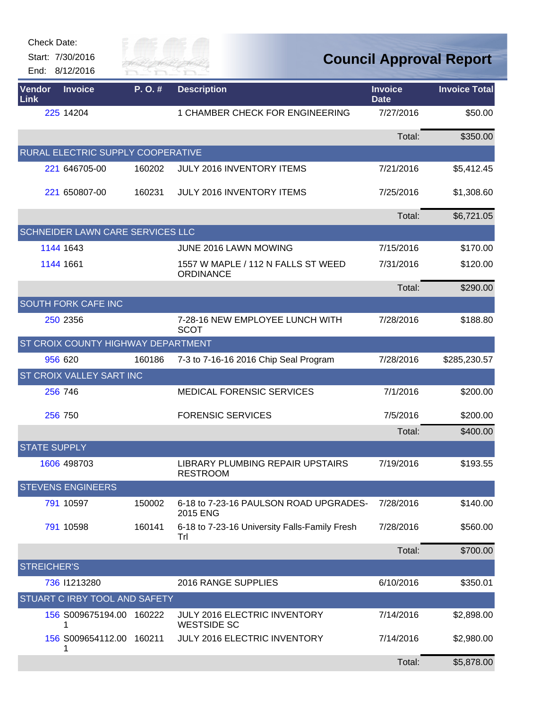|                | <b>Check Date:</b><br>Start: 7/30/2016<br>End: 8/12/2016 | City of<br>RIVER FAI |                                                        |                               | <b>Council Approval Report</b> |
|----------------|----------------------------------------------------------|----------------------|--------------------------------------------------------|-------------------------------|--------------------------------|
| Vendor<br>Link | <b>Invoice</b>                                           | P.O.#                | <b>Description</b>                                     | <b>Invoice</b><br><b>Date</b> | <b>Invoice Total</b>           |
|                | 225 14204                                                |                      | 1 CHAMBER CHECK FOR ENGINEERING                        | 7/27/2016                     | \$50.00                        |
|                |                                                          |                      |                                                        | Total:                        | \$350.00                       |
|                | RURAL ELECTRIC SUPPLY COOPERATIVE                        |                      |                                                        |                               |                                |
|                | 221 646705-00                                            | 160202               | <b>JULY 2016 INVENTORY ITEMS</b>                       | 7/21/2016                     | \$5,412.45                     |
|                | 221 650807-00                                            | 160231               | <b>JULY 2016 INVENTORY ITEMS</b>                       | 7/25/2016                     | \$1,308.60                     |
|                |                                                          |                      |                                                        | Total:                        | \$6,721.05                     |
|                | SCHNEIDER LAWN CARE SERVICES LLC                         |                      |                                                        |                               |                                |
|                | 1144 1643                                                |                      | JUNE 2016 LAWN MOWING                                  | 7/15/2016                     | \$170.00                       |
|                | 1144 1661                                                |                      | 1557 W MAPLE / 112 N FALLS ST WEED<br><b>ORDINANCE</b> | 7/31/2016                     | \$120.00                       |
|                |                                                          |                      |                                                        | Total:                        | \$290.00                       |
|                | SOUTH FORK CAFE INC                                      |                      |                                                        |                               |                                |
|                | 250 2356                                                 |                      | 7-28-16 NEW EMPLOYEE LUNCH WITH<br><b>SCOT</b>         | 7/28/2016                     | \$188.80                       |
|                | ST CROIX COUNTY HIGHWAY DEPARTMENT                       |                      |                                                        |                               |                                |
|                | 956 620                                                  | 160186               | 7-3 to 7-16-16 2016 Chip Seal Program                  | 7/28/2016                     | \$285,230.57                   |
|                | <b>ST CROIX VALLEY SART INC</b>                          |                      |                                                        |                               |                                |
|                | 256 746                                                  |                      | <b>MEDICAL FORENSIC SERVICES</b>                       | 7/1/2016                      | \$200.00                       |
|                | 256 750                                                  |                      | <b>FORENSIC SERVICES</b>                               | 7/5/2016                      | \$200.00                       |
|                |                                                          |                      |                                                        | Total:                        | \$400.00                       |
|                | <b>STATE SUPPLY</b>                                      |                      |                                                        |                               |                                |
|                | 1606 498703                                              |                      | LIBRARY PLUMBING REPAIR UPSTAIRS<br><b>RESTROOM</b>    | 7/19/2016                     | \$193.55                       |
|                | <b>STEVENS ENGINEERS</b>                                 |                      |                                                        |                               |                                |
|                | 791 10597                                                | 150002               | 6-18 to 7-23-16 PAULSON ROAD UPGRADES-<br>2015 ENG     | 7/28/2016                     | \$140.00                       |
|                | 791 10598                                                | 160141               | 6-18 to 7-23-16 University Falls-Family Fresh<br>Trl   | 7/28/2016                     | \$560.00                       |
|                |                                                          |                      |                                                        | Total:                        | \$700.00                       |
|                | <b>STREICHER'S</b>                                       |                      |                                                        |                               |                                |
|                | 736 11213280                                             |                      | 2016 RANGE SUPPLIES                                    | 6/10/2016                     | \$350.01                       |
|                | STUART C IRBY TOOL AND SAFETY                            |                      |                                                        |                               |                                |
|                | 156 S009675194.00 160222<br>1                            |                      | JULY 2016 ELECTRIC INVENTORY<br><b>WESTSIDE SC</b>     | 7/14/2016                     | \$2,898.00                     |
|                | 156 S009654112.00 160211                                 |                      | JULY 2016 ELECTRIC INVENTORY                           | 7/14/2016                     | \$2,980.00                     |
|                |                                                          |                      |                                                        | Total:                        | \$5,878.00                     |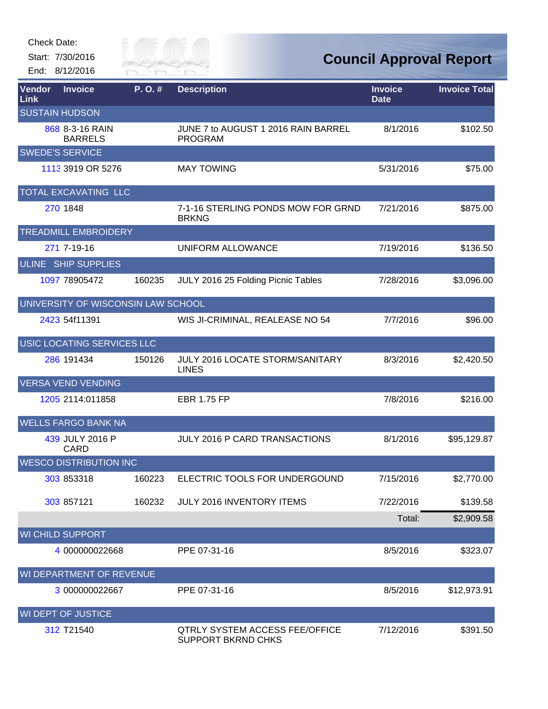| Check Date: |  |
|-------------|--|
|-------------|--|

Start: 7/30/2016 End: 8/12/2016



| Vendor<br><b>Link</b> | <b>Invoice</b>                     | P.O.#  | <b>Description</b>                                          | <b>Invoice</b><br><b>Date</b> | <b>Invoice Total</b> |
|-----------------------|------------------------------------|--------|-------------------------------------------------------------|-------------------------------|----------------------|
|                       | <b>SUSTAIN HUDSON</b>              |        |                                                             |                               |                      |
|                       | 868 8-3-16 RAIN<br><b>BARRELS</b>  |        | JUNE 7 to AUGUST 1 2016 RAIN BARREL<br><b>PROGRAM</b>       | 8/1/2016                      | \$102.50             |
|                       | <b>SWEDE'S SERVICE</b>             |        |                                                             |                               |                      |
|                       | 1113 3919 OR 5276                  |        | <b>MAY TOWING</b>                                           | 5/31/2016                     | \$75.00              |
|                       | TOTAL EXCAVATING LLC               |        |                                                             |                               |                      |
|                       | 270 1848                           |        | 7-1-16 STERLING PONDS MOW FOR GRND<br><b>BRKNG</b>          | 7/21/2016                     | \$875.00             |
|                       | <b>TREADMILL EMBROIDERY</b>        |        |                                                             |                               |                      |
|                       | 271 7-19-16                        |        | UNIFORM ALLOWANCE                                           | 7/19/2016                     | \$136.50             |
|                       | ULINE SHIP SUPPLIES                |        |                                                             |                               |                      |
|                       | 1097 78905472                      | 160235 | JULY 2016 25 Folding Picnic Tables                          | 7/28/2016                     | \$3,096.00           |
|                       | UNIVERSITY OF WISCONSIN LAW SCHOOL |        |                                                             |                               |                      |
|                       | 2423 54f11391                      |        | WIS JI-CRIMINAL, REALEASE NO 54                             | 7/7/2016                      | \$96.00              |
|                       | USIC LOCATING SERVICES LLC         |        |                                                             |                               |                      |
|                       | 286 191434                         | 150126 | JULY 2016 LOCATE STORM/SANITARY<br><b>LINES</b>             | 8/3/2016                      | \$2,420.50           |
|                       | <b>VERSA VEND VENDING</b>          |        |                                                             |                               |                      |
|                       | 1205 2114:011858                   |        | <b>EBR 1.75 FP</b>                                          | 7/8/2016                      | \$216.00             |
|                       | <b>WELLS FARGO BANK NA</b>         |        |                                                             |                               |                      |
|                       | 439 JULY 2016 P<br><b>CARD</b>     |        | <b>JULY 2016 P CARD TRANSACTIONS</b>                        | 8/1/2016                      | \$95,129.87          |
|                       | <b>WESCO DISTRIBUTION INC</b>      |        |                                                             |                               |                      |
|                       | 303 853318                         | 160223 | ELECTRIC TOOLS FOR UNDERGOUND                               | 7/15/2016                     | \$2,770.00           |
|                       | 303 857121                         | 160232 | JULY 2016 INVENTORY ITEMS                                   | 7/22/2016                     | \$139.58             |
|                       |                                    |        |                                                             | Total:                        | \$2,909.58           |
|                       | <b>WI CHILD SUPPORT</b>            |        |                                                             |                               |                      |
|                       | 4 000000022668                     |        | PPE 07-31-16                                                | 8/5/2016                      | \$323.07             |
|                       | WI DEPARTMENT OF REVENUE           |        |                                                             |                               |                      |
|                       | 3 000000022667                     |        | PPE 07-31-16                                                | 8/5/2016                      | \$12,973.91          |
|                       | <b>WI DEPT OF JUSTICE</b>          |        |                                                             |                               |                      |
|                       | 312 T21540                         |        | <b>QTRLY SYSTEM ACCESS FEE/OFFICE</b><br>SUPPORT BKRND CHKS | 7/12/2016                     | \$391.50             |